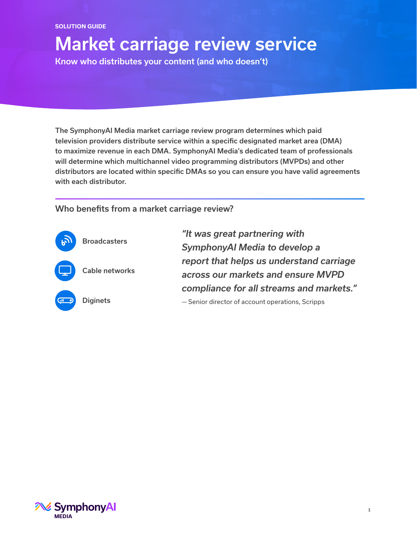#### **SOLUTION GUIDE**

# Market carriage review service

Know who distributes your content (and who doesn't)

The SymphonyAI Media market carriage review program determines which paid television providers distribute service within a specific designated market area (DMA) to maximize revenue in each DMA. SymphonyAI Media's dedicated team of professionals will determine which multichannel video programming distributors (MVPDs) and other distributors are located within specific DMAs so you can ensure you have valid agreements with each distributor.

## Who benefits from a market carriage review?